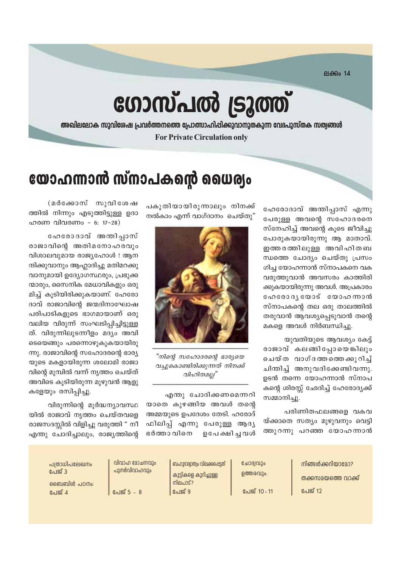ലക്കം 14

# ഗോസ്പൽ ട്രൂത്ത്

അഖിലലോക സുവിശേഷ പ്രവർത്തനത്തെ പ്രോത്സാഹിപ്പിക്കുവാനുതകുന്ന വേദപുസ്തക സത്വങ്ങൾ **For Private Circulation only** 

## യോഹന്നാൻ സ്നാപകന്റെ ധൈര്യം

ഹേരോദാവ് അന്തിപ്പാസ് എന്നു പേരുള്ള അവന്റെ സഹോദരനെ സ്നേഹിച്ച് അവന്റെ കൂടെ ജീവിച്ചു പോരുകയായിരുന്നു ആ മാതാവ്. ഇത്തരത്തിലുള്ള അവിഹിതബ ന്ധത്തെ ചോദ്യം ചെയ്തു പ്രസം ഗിച്ച യോഹന്നാൻ സ്നാപകനെ വക വരുത്തുവാൻ അവസരം കാത്തിരി ക്കുകയായിരുന്നു അവൾ. അപ്രകാരം ഹേരോദൃയോട് യോഹന്നാൻ സ്നാപകന്റെ തല ഒരു താലത്തിൽ തരുവാൻ ആവശ്യപ്പെടുവാൻ തന്റെ മകളെ അവൾ നിർബന്ധിച്ചു.

യുവതിയുടെ ആവശ്യം കേട്ട് രാജാവ് കലങ്ങിപ്പോയെങ്കിലും ചെയ്ത വാഗ്ദത്തത്തെക്കുറിച് ചിന്തിച്ച് അനുവദിക്കേണ്ടിവന്നു. ഉടൻ തന്നെ യോഹന്നാൻ സ്നാപ കന്റെ ശിരസ്സ് ഛേദിച്ച് ഹേരോദ്യക്ക് സമ്മാനിച്ചു.

പരിണിതഫലങ്ങളെ വകവ യ്ക്കാതെ സത്യം മുഴുവനും വെട്ടി ത്തുറന്നു പറഞ്ഞ യോഹന്നാൻ

പകുതിയായിരുന്നാലും നിനക്ക് നൽകാം എന്ന് വാഗ്ദാനം ചെയ്തു"



"നിന്റെ സഹോദരന്റെ ഭാര്യയെ വച്ചുകൊണ്ടിരിക്കുന്നത് നിനക്ക് വിഹിതമല്ല"

എന്തു ചോദിക്കണമെന്നറി യാതെ കുഴങ്ങിയ അവൾ തന്റെ അമ്മയുടെ ഉപദേശം തേടി. ഹരോദ് ഫിലിപ്പ് എന്നു പേരുള്ള ആദൃ ഭർത്താ വിനെ ഉപേക്ഷി ചുവൾ

(മർക്കോസ് സുവിശേഷ ത്തിൽ നിന്നും എടുത്തിട്ടുള്ള ഉദാ ഹരണ വിവരണം - 6: 17-28)

ഹേരോദാവ് അന്തിപ്പാസ് രാജാവിന്റെ അതിമനോഹരവും വിശാലവുമായ രാജ്യഹോൾ ! ആന ന്ദിക്കുവാനും ആഹ്ലാദിച്ചു മതിമറക്കു വാനുമായി ഉദ്യോഗസ്ഥരും, പ്രഭുക്ക ന്മാരും, സൈനിക മേധാവികളും ഒരു മിച്ച് കൂടിയിരിക്കുകയാണ്. ഹേരോ ദാവ് രാജാവിന്റെ ജന്മദിനാഘോഷ പരിപാടികളുടെ ഭാഗമായാണ് ഒരു വലിയ വിരുന്ന് സംഘടിപ്പിച്ചിട്ടുള്ള ത്. വിരുന്നിലുടന്നീളം മദ്യം അവി ടെയെങ്ങും പരന്നൊഴുകുകയായിരു ന്നു. രാജാവിന്റെ സഹോദരന്റെ ഭാര്യ യുടെ മകളായിരുന്ന ശലോമി രാജാ വിന്റെ മുമ്പിൽ വന്ന് നൃത്തം ചെയ്ത് അവിടെ കൂടിയിരുന്ന മുഴുവൻ ആളു കളേയും രസിപ്പിച്ചു.

വിരുന്നിന്റെ മൂർദ്ധന്യാവസ്ഥ യിൽ രാജാവ് നൃത്തം ചെയ്തവളെ രാജസദസ്സിൽ വിളിച്ചു വരുത്തി " നീ എന്തു ചോദിച്ചാലും, രാജ്യത്തിന്റെ

| പത്രാധിപലേഖനം<br>പേജ് 3<br>ബൈബിൾ പഠനം:<br>പേജ് 4 | വിവാഹ മോചനവും<br>പുനർവിവാഹവും<br>പേജ് 5 - 8 | ബഹുദാര്വാത്വം വിലക്കപ്പെട്ടത്<br>കുട്ടികളെ കുറിച്ചുള്ള<br>നിലപാട്?<br>പേജ് 9 | ചോദ്വവും<br>ഉത്തരവും.<br>പേജ് 10 - 11 | നിങ്ങൾക്കറിയാമോ?<br>തക്കസമയത്തെ വാക്ക്<br>പേജ് 12 |
|--------------------------------------------------|---------------------------------------------|------------------------------------------------------------------------------|---------------------------------------|---------------------------------------------------|
|--------------------------------------------------|---------------------------------------------|------------------------------------------------------------------------------|---------------------------------------|---------------------------------------------------|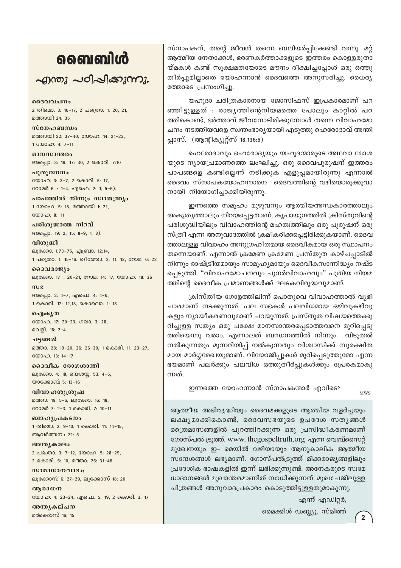### வைவிൾ

 $\sim$ றாறை പഠിപ്പിക്കുന്നു.

ദൈവവചനം 2 തിമൊ. 3: 16-17, 2 പത്രൊ. 1: 20, 21, മത്തായി 24: 35

സ്നേഹബന്ധം മത്തായി 22: 37-40, യോഹ. 14: 21-23, 1 00000. 4: 7-11

മാനസാന്തരം അപ്പൊ. 3: 19, 17: 30, 2 കൊരി. 7:10 പുതുജനനം

യോഹ. 3: 3-7, 2 കൊരി. 5: 17, റോമർ 6 : 1-4, എഫെ. 2: 1, 5-6).

പാപത്തിൽ നിന്നും സ്വാതന്ത്ര്യം 1 യോഹ. 5: 18, മത്തായി 1: 21,  $2000000811$ 

പരിശുദ്ധാത്മ നിറവ് അപ്പൊ. 19: 2, 15: 8-9, 1: 8).

വിശുദ്ധി ലൂക്കോ. 1:73-75, എബ്രാ. 12:14, 1 പക്രൊ. 1: 15-16, തീത്തോ. 2: 11, 12, റോമ. 6: 22

ദൈവരാജ്യം ലൂക്കോ. 17: 20-21, റോമ. 14: 17, യോഹ. 18: 36  $m$  $g$ 

അപ്പൊ. 2: 4-7, എഫെ. 4: 4-6, 1 കൊരി. 12: 12,13, കൊലൊ. 1: 18

ഐകൃത യോഹ. 17: 20-23, ഗലാ. 3: 28, വെളി. 18: 2-4

ചട്ടങ്ങൾ മത്താ. 28: 19-20, 26: 26-30, 1 കൊരി. 11: 23-27, യോഹ. 13: 14-17

ദൈവീക രോഗശാന്തി ലൂക്കോ. 4: 18, യെശയ്യ. 53: 4-5, യാക്കോബ് 5: 13-16

വിവാഹശുശ്രൂഷ മത്താ. 19: 5-6, ലൂക്കോ. 16: 18, റോമർ 7: 2-3, 1 കൊരി. 7: 10-11

ബാഹ്യപ്രകടനം 1 തിമൊ. 2: 9-10, 1 കൊരി. 11: 14-15, ആവർത്തനം 22: 5

അന്ത്യകാലം 2 പത്രൊ. 3: 7-12, യോഹ. 5: 28-29, 2 കൊരി. 5: 10, മത്താ. 25: 31-46

സാമാധാനവാദം: ലൂക്കോസ് 6: 27-29, ലൂക്കോസ് 18: 20

അരാധന യോഹ. 4: 23-24, എഫെ. 5: 19, 2 കൊരി. 3: 17

അന്തൃകല്പന മർക്കൊസ് 16: 15

സ്നാപകന്, തന്റെ ജീവൻ തന്നെ ബലിയർപ്പിക്കേണ്ടി വന്നു. മറ്റ് ആത്മീയ നേതാക്കൾ, ഭരണകർത്താക്കളുടെ ഇത്തരം കൊള്ളരുതാ യ്മകൾ കണ്ട് സൂക്ഷമതയോടെ മൗനം ദീക്ഷിച്ചപ്പോൾ ഒരു ഒത്തു തീർപ്പുമില്ലാതെ യോഹന്നാൻ ദൈവത്തെ അനുസരിച്ചു. ധൈര്യ ത്തോടെ പ്രസംഗിച്ചു.

യഹുദാ ചരിത്രകാരനായ ജോസിഫസ് ഇപ്രകാരമാണ് പറ ഞ്ഞിട്ടുള്ളത് : രാജ്യത്തിന്റെനിയമത്തെ പോലും കാറ്റിൽ പറ ത്തികൊണ്ട്, ഭർത്താവ് ജീവനോടിരിക്കുമ്പോൾ തന്നെ വിവാഹമോ ചനം നടത്തിയവളെ സ്വന്തംഭാര്യയായി എടുത്തു ഹെരോദാവ് അന്തി പ്പാസ്. (ആന്റിക്യൂറ്റ്സ് 18.136:5)

ഹെരോദാവും ഹെരോദൃയും യഹൂദന്മാരുടെ അഥവാ മോശ യുടെ ന്യായപ്രമാണത്തെ ലംഘിച്ചു. ഒരു ദൈവപുരുഷന് ഇത്തരം പാപങ്ങളെ കണ്ടില്ലെന്ന് നടിക്കുക എളുപ്പമായിരുന്നു എന്നാൽ ദൈവം സ്നാപകയോഹന്നാനെ ദൈവത്തിന്റെ വഴിയൊരുക്കുവാ നായി നിയോഗിച്ചാക്കിയിരുന്നു.

ഇന്നത്തെ സമൂഹം മുഴുവനും ആത്മീയഅന്ധകാരത്താലും അകൃതൃത്താലും നിറയപ്പെട്ടതാണ്. കൃപായുഗത്തിൽ ക്രിസ്തുവിന്റെ പരിശുദ്ധിയിലും വിവാഹത്തിന്റെ മഹത്വത്തിലും ഒരു പുരുഷന് ഒരു സ്ത്രീ എന്ന അനുവാദത്തിൽ ക്രമീകരിക്കപ്പെട്ടിരിക്കുകയാണ്. ദൈവ ത്താലുള്ള വിവാഹം അനുഗ്രഹീതമായ ദൈവീകമായ ഒരു സ്ഥാപനം തന്നെയാണ്. എന്നാൽ ക്രമേണ ക്രമേണ പ്രസ്തുത കാഴ്ചപ്പാടിൽ നിന്നും രാഷ്ട്രീയമായും സാമൂഹ്യമായും ദൈവീകസാന്നിദ്ധ്യം നഷ്ട പ്പെടുത്തി. "വിവാഹമോചനവും പുനർവിവാഹവും" പുതിയ നിയമ ത്തിന്റെ ദൈവീക പ്രമാണങ്ങൾക്ക് ഘടകവിരുദ്ധവുമാണ്.

ക്രിസ്തീയ ഗോളത്തിലിന്ന് പൊതുവെ വിവാഹത്താൽ വൃഭി ചാരമാണ് നടക്കുന്നത്. പല സഭകൾ പലവിധമായ ഒഴിവുകഴിവു കളും ന്യായീകരണവുമാണ് പറയുന്നത്. പ്രസ്തുത വിഷയത്തെക്കു റിച്ചുള്ള സത്യം ഒരു പക്ഷേ മാനസാന്തരപ്പെടാത്തവനെ മുറിപ്പെടു ത്തിയെന്നു വരാം. എന്നാലത് ബന്ധനത്തിൽ നിന്നും വിടുതൽ നൽകുന്നതും മുന്നറിയിപ്പ് നൽകുന്നതും വിശ്വാസിക്ക് സുരക്ഷിത മായ മാർഗ്ഗരേഖയുമാണ്. വിയോജിപ്പുകൾ മുറിപ്പെടുത്തുമോ എന്ന ഭയമാണ് പലർക്കും പലവിധ ഒത്തുതീർപ്പുകൾക്കും പ്രേരകമാകു ന്നത്.

ഇന്നത്തെ യോഹന്നാൻ സ്നാപകന്മാർ എവിടെ?

**MWS** 

ആത്മീയ അഭിവൃദ്ധിയും ദൈവമക്കളുടെ ആത്മീയ വളർച്ചയും ലക്ഷ്യമാക്കികൊണ്ട്, ദൈവസഭയുടെ ഉപദേശ സതൃങ്ങൾ ത്രൈമാസങ്ങളിൽ പുറത്തിറക്കുന്ന ഒരു പ്രസിദ്ധീകരണമാണ് ഗോസ്പൽ ട്രുത്ത്. www. thegospeltruth.org എന്ന വെബ്സൈറ്റ് മുഖേനയും ഇ- മെയിൽ വഴിയായും ആനുകാലിക ആത്മീയ സന്ദേശങ്ങൾ ലഭ്യമാണ്. ഗോസ്പൽട്രുത്ത് മിക്കരാജ്യങ്ങളിലും പ്രദേശിക ഭാഷകളിൽ ഇന്ന് ലഭിക്കുന്നുണ്ട്. അനേകരുടെ സ്വമേ ധാദാനങ്ങൾ മുഖാന്തരമാണിത് സാധിക്കുന്നത്. മുഖപേജിലുള്ള ചിത്രങ്ങൾ അനുവാദപ്രകാരം കൊടുത്തിട്ടുള്ളതുമാകുന്നു.

എന്ന് എഡിറ്റർ,

മൈക്കിൾ ഡബ്ല്യൂ. സ്മിത്ത്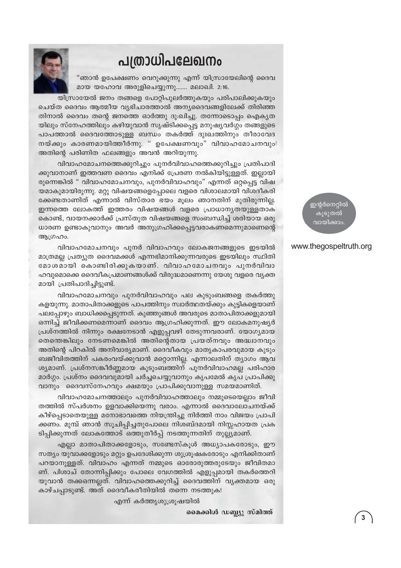### പത്രാധിപലേഖനം



"ഞാൻ ഉപേക്ഷണം വെറുക്കുന്നു എന്ന് യിസ്രായേലിന്റെ ദൈവ മായ യഹോവ അരുളിചെയ്യുന്നു....... മലാഖി. 2:16.

യിസ്രായേൽ ജനം തങ്ങളെ പോറ്റിപുലർത്തുകയും പരിപാലിക്കുകയും ചെയ്ത ദൈവം ആത്മീയ വ്യഭിചാരത്താൽ അന്യദൈവങ്ങളിലേക്ക് തിരിഞ്ഞ തിനാൽ ദൈവം തന്റെ ജനത്തെ ഓർത്തു ദു:ഖിച്ചു. തന്നോടൊപ്പം ഐകൃത യിലും സ്നേഹത്തിലും കഴിയുവാൻ സൃഷ്ടിക്കപ്പെട്ട മനുഷ്യവർഗ്ഗം തങ്ങളുടെ പാപത്താൽ ദൈവത്തോടുള്ള ബന്ധം തകർത്ത് ദുഃഖത്തിനും തീരാവേദ നയ്ക്കും കാരണമായിത്തീർന്നു. " ഉപേക്ഷണവും" വിവാഹമോചനവും അതിന്റെ പരിണിത ഫലങ്ങളും അവൻ അറിയുന്നു.

വിവാഹമോചനത്തെക്കുറിച്ചും പുനർവിവാഹത്തെക്കുറിച്ചും പ്രതിപാദി ക്കുവാനാണ് ഇത്തവണ ദൈവം എനിക്ക് പ്രേരണ നൽകിയിട്ടുള്ളത്. ഇല്ലായി രുന്നെങ്കിൽ " വിവാഹമോചനവും, പുനർവിവാഹവും" എന്നത് ഒറ്റപ്പെട്ട വിഷ യമാകുമായിരുന്നു. മറ്റു വിഷയങ്ങളെപ്പോലെ വളരെ വിശാലമായി വിശദീകരി ക്കേണ്ടതാണിത് എന്നാൽ വിസ്താര ഭയം മുലം ഞാനതിന് മുതിരുന്നില്ല. ഇന്നത്തെ ലോകത്ത് ഇത്തരം വിഷയങ്ങൾ വളരെ പ്രാധാന്യതയുള്ളതാക കൊണ്ട്, വായനക്കാർക്ക് പ്രസ്തുത വിഷയങ്ങളെ സംബന്ധിച്ച് ശരിയായ ഒരു ധാരണ ഉണ്ടാകുവാനും അവർ അനുഗ്രഹിക്കപ്പെട്ടവരാകണമെന്നുമാണെന്റെ ആഗ്രഹം.

വിവാഹമോചനവും പുനർ വിവാഹവും ലോകജനങ്ങളുടെ ഇടയിൽ മാത്രമല്ല പ്രത്യുത ദൈവമക്കൾ എന്നഭിമാനിക്കുന്നവരുടെ ഇടയിലും സ്ഥിതി മോശമായി കൊണ്ടിരിക്കുകയാണ്. വിവാഹമോചനവും പുനർവിവാ ഹവുമൊക്കെ ദൈവീകപ്രമാണങ്ങൾക്ക് വിരുദ്ധമാണെന്നു യേശു വളരെ വൃക്ത മായി പ്രതിപാദിച്ചിട്ടുണ്ട്.

വിവാഹമോചനവും പുനർവിവാഹവും പല കുടുംബങ്ങളെ തകർത്തു കളയുന്നു. മാതാപിതാക്കളുടെ പാപത്തിനും സ്വാർത്ഥതയ്ക്കും കുട്ടികളെയാണ് പലപ്പോഴും ബാധിക്കപ്പെടുന്നത്. കുഞ്ഞുങ്ങൾ അവരുടെ മാതാപിതാക്കളുമായി ഒന്നിച്ച് ജീവിക്കണമെന്നാണ് ദൈവം ആഗ്രഹിക്കുന്നത്. ഈ ലോകമനുഷ്യർ പ്രശ്നത്തിൽ നിന്നും രക്ഷനേടാൻ എളുപ്പവഴി തേടുന്നവരാണ്. യോഗൃമായ തെന്തെങ്കിലും നേടണമെങ്കിൽ അതിന്റെതായ പ്രയത്നവും അദ്ധ്വാനവും അതിന്റെ പിറകിൽ അനിവാര്യമാണ്. ദൈവീകവും മാതൃകാപരവുമായ കുടും ബജീവിതത്തിന് പകരംവയ്ക്കുവാൻ മറ്റൊന്നില്ല. എന്നാലതിന് ത്യാഗം ആവ ശ്യമാണ്. പ്രശ്നസങ്കീർണ്ണമായ കുടുംബത്തിന് പുനർവിവാഹമല്ല പരിഹാര മാർഗ്ഗം. പ്രശ്നം ദൈവവുമായി ചർച്ചചെയ്യുവാനും കൃപമേൽ കൃപ പ്രാപിക്കു വാനും ദൈവസ്നേഹവും ക്ഷമയും പ്രാപിക്കുവാനുള്ള സമയമാണിത്.

വിവാഹമോചനത്താലും പുനർവിവാഹത്താലും നമ്മുടെയെല്ലാം ജീവി തത്തിൽ സ്പർശനം ഉളവാക്കിയെന്നു വരാം. എന്നാൽ ദൈവാലോചനയ്ക്ക് കീഴ്പ്പെടാതെയുള്ള മനോഭാവത്തെ നിയന്ത്രിച്ചു നിർത്തി നാം വിജയം പ്രാപി ക്കണം. മുമ്പ് ഞാൻ സൂചിപ്പിച്ചതുപോലെ നിശബ്ദമായി നിസ്സഹായത പ്രക ടിപ്പിക്കുന്നത് ലോകത്തോട് ഒത്തുതീർപ്പ് നടത്തുന്നതിന് തുല്ല്യമാണ്.

എല്ലാ മാതാപിതാക്കളോടും, സണ്ടേസ്കൂൾ അധ്യാപകരോടും, ഈ സത്യം യുവാക്കളോടും മറ്റും ഉപദേശിക്കുന്ന ശുശ്രൂഷകരോടും എനിക്കിതാണ് പറയാനുള്ളത്. വിവാഹം എന്നത് നമ്മുടെ ഓരോരുത്തരുടേയും ജീവിതമാ ണ്. പിശാച് തോന്നിപ്പിക്കും പോലെ വേഗത്തിൽ എളുപ്പമായി തകർത്തെറി യുവാൻ തക്കഒന്നല്ലത്. വിവാഹത്തെക്കുറിച്ച് ദൈവത്തിന് വ്യക്തമായ ഒരു കാഴ്ചപ്പാടുണ്ട്. അത് ദൈവീകരീതിയിൽ തന്നെ നടത്തുക!

എന്ന് കർത്തൃശുശ്രൂഷയിൽ

മൈക്കിൾ ഡബ്ല്യു സ്മിത്ത്

ഇന്റർനെറ്റിൽ കുടുതൽ വായിക്കാം

#### www.thegospeltruth.org

 $\overline{3}$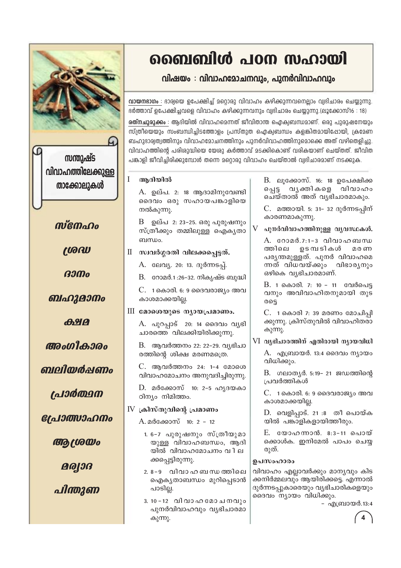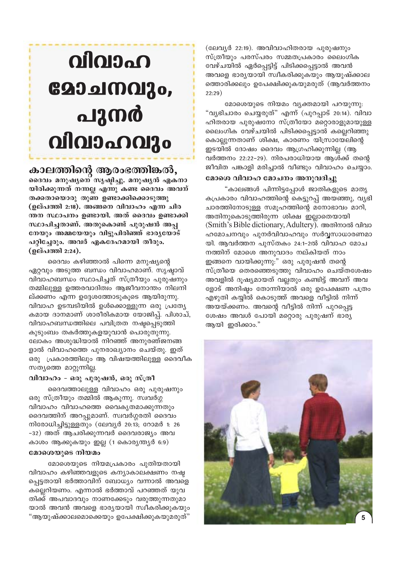#### (ലേവൃർ 22:19). അവിവാഹിതരായ പുരുഷനും സ്ത്രീയും പരസ്പരം സമ്മതപ്രകാരം ലൈംഗിക വേഴ്ചയിൽ ഏർപ്പെട്ടിട്ട് പിടിക്കപ്പെട്ടാൽ അവൻ അവളെ ഭാര്യയായി സ്വീകരിക്കുകയും ആയുഷ്ക്കാല ത്തൊരിക്കലും ഉപേക്ഷിക്കുകയുമരുത് (ആവർത്തനം  $22:29)$

മോശെയുടെ നിയമം വൃക്തമായി പറയുന്നു: "വൃഭിചാരം ചെയ്യരുത്" എന്ന് (പുറപ്പാട് 20:14). വിവാ ഹിതരായ പുരുഷനോ സ്ത്രീയോ മറ്റൊരാളുമായുള്ള ലൈംഗിക വേഴ്ചയിൽ പിടിക്കപ്പെട്ടാൽ കല്ലെറിഞ്ഞു കൊല്ലുന്നതാണ് ശിക്ഷ, കാരണം യിസ്രായേലിന്റെ ഇടയിൽ ദോഷം ദൈവം ആഗ്രഹിക്കുന്നില്ല (ആ വർത്തനം 22:22-29). നിരപരാധിയായ ആൾക്ക് തന്റെ ജീവിത പങ്കാളി മരിച്ചാൽ വീണ്ടും വിവാഹം ചെയ്യാം.

#### മോശെ വിവാഹ മോചനം അനുവദിച്ചു

"കാലങ്ങൾ പിന്നിട്ടപ്പോൾ ജാതികളുടെ മാതൃ കപ്രകാരം വിവാഹത്തിന്റെ കെട്ടുറപ്പ് അയഞ്ഞു, വൃഭി ചാരത്തിനോടുള്ള സമൂഹത്തിന്റെ മനോഭാവം മാറി, അതിനുകൊടുത്തിരുന്ന ശിക്ഷ ഇല്ലാതെയായി (Smith's Bible dictionary, Adultery). അതിനാൽ വിവാ ഹമോചനവും പുനർവിവാഹവും സർവ്വസാധാരണമാ യി. ആവർത്തന പുസ്തകം 24:1–2ൽ വിവാഹ മോച നത്തിന് മോശെ അനുവാദം നല്കിയത് നാം ഇങ്ങനെ വായിക്കുന്നു:" ഒരു പുരുഷൻ തന്റെ സ്ത്രീയെ തെരഞ്ഞെടുത്തു വിവാഹം ചെയ്തശേഷം അവളിൽ ദുഷ്യമായത് വല്ലതും കണ്ടിട്ട് അവന് അവ ളോട് അനിഷ്ടം തോന്നിയാൽ ഒരു ഉപേക്ഷണ പത്രം എഴുതി കയ്യിൽ കൊടുത്ത് അവളെ വീട്ടിൽ നിന്ന് അയയ്ക്കണം. അവന്റെ വീട്ടിൽ നിന്ന് പുറപ്പെട്ട ശേഷം അവൾ പോയി മറ്റൊരു പുരുഷന് ഭാര്യ ആയി ഇരിക്കാം."



# $O$ ളോചനവും, പുനർ വിവാഹവും

കാലത്തിന്റെ ആരംഭത്തിങ്കൽ, ദൈവം മനുഷൃനെ സൃഷ്ടിച്ചു. മനുഷൃൻ ഏകനാ യിരിക്കുന്നത് നന്നല്ല എന്നു കണ്ട ദൈവം അവന് തക്കതായൊരു തുണ ഉണ്ടാക്കിക്കൊടുത്തു (ഉല്പത്തി 2:18). അങ്ങനെ വിവാഹം എന്ന ചിര ന്തന സ്ഥാപനം ഉണ്ടായി. അത് ദൈവം ഉണ്ടാക്കി സ്ഥാപിച്ചതാണ്. അതുകൊണ്ട് പുരുഷൻ അപ്പ നേയും അമ്മയേയും വിട്ടുപിരിഞ്ഞ് ഭാരൃയോട് പറ്റിച്ചേരും. അവർ ഏകദേഹമായി തീരും. (ഉല്പത്തി 2:24).

ദൈവം കഴിഞ്ഞാൽ പിന്നെ മനുഷ്യന്റെ ഏറവും അടുത്ത ബന്ധം വിവാഹമാണ്. സൃഷാവ് വിവാഹബന്ധം സ്ഥാപിച്ചത് സ്ത്രീയും പുരുഷനും തമ്മിലുള്ള ഉത്തരവാദിത്വം ആജീവനാന്തം നിലനി ല്ക്കണം എന്ന ഉദ്ദേശത്തോടുകൂടെ ആയിരുന്നു. വിവാഹ ഉടമ്പടിയിൽ ഉൾക്കൊള്ളുന്ന ഒരു പ്രത്യേ കമായ ദാനമാണ് ശാരീരികമായ യോജിപ്പ്. പിശാച്, വിവാഹബന്ധത്തിലെ പവിത്രത നഷ്ടപ്പെടുത്തി കുടുംബം തകർത്തുകളയുവാൻ പൊരുതുന്നു. ലോകം അശുദ്ധിയാൽ നിറഞ്ഞ് അനുരഞ്ജനങ്ങ ളാൽ വിവാഹത്തെ പുനരാഖ്യാനം ചെയ്തു. ഇത് ഒരു പ്രകാരത്തിലും ആ വിഷയത്തിലുള്ള ദൈവീക സത്യത്തെ മാറ്റുന്നില്ല.

#### വിവാഹം - ഒരു പുരുഷൻ, ഒരു സ്ത്രീ

ദൈവത്താലുള്ള വിവാഹം ഒരു പുരുഷനും ഒരു സ്ത്രീയും തമ്മിൽ ആകുന്നു. സ്വവർഗ്ഗ വിവാഹം വിവാഹത്തെ വൈകൃതമാക്കുന്നതും ദൈവത്തിന് അറപ്പുമാണ്. സ്വവർഗ്ഗരതി ദൈവം നിരോധിച്ചിട്ടുള്ളതും (ലേവൃർ 20:13; റോമർ 1: 26 -32) അത് ആചരിക്കുന്നവർ ദൈവരാജ്യം അവ കാശം ആക്കുകയും ഇല്ല (1 കൊര്യന്ത്യർ 6:9)

#### മോശെയുടെ നിയമം

മോശെയുടെ നിയമപ്രകാരം പുതിയതായി വിവാഹം കഴിഞ്ഞവളുടെ കന്യാകാലക്ഷണം നഷ്ട പ്പെട്ടതായി ഭർത്താവിന് ബോധ്യം വന്നാൽ അവളെ കല്ലെറിയണം. എന്നാൽ ഭർത്താവ് പറഞ്ഞത് യുവ തിക്ക് അപവാദവും നാണക്കേടും വരുത്തുന്നതുമാ യാൽ അവൻ അവളെ ഭാര്യയായി സ്ഥീകരിക്കുകയും "ആയുഷ്ക്കാലമൊക്കെയും ഉപേക്ഷിക്കുകയുമരുത്"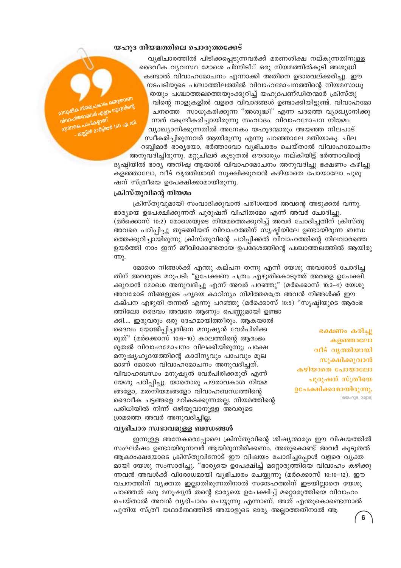#### യഹൂദ നിയമത്തിലെ പൊരുത്തക്കേട്

.<br>സുഷിക നിയമപ്രകാരം രണ്ടുതവണ .<br>പാഹിതരായവർ എല്ലാം ഗുരുവിന്റെ <u>കെ പാപികളാണ്</u> ജസ്സിൻ മാർട്ടിയർ 160 ഏ.ഡി.

വ്യഭിചാരത്തിൽ പിടിക്കപ്പെടുന്നവർക്ക് മരണശിക്ഷ നല്കുന്നതിനുള്ള ദൈവീക വ്യവസ്ഥ മോശെ പിന്നിടീ് ഒരു നിയമത്തിൽകൂടി അശുദ്ധി കണ്ടാൽ വിവാഹമോചനം എന്നാക്കി അതിനെ ഉദാരവല്ക്കരിച്ചു. ഈ നടപടിയുടെ പശ്ചാത്തിലത്തിൽ വിവാഹമോചനത്തിന്റെ നിയമസാധു തയും പശ്ചാത്തലത്തെയുംക്കുറിച്ച് യഹുദപണ്ഡിതന്മാർ ക്രിസ്തു വിന്റെ നാളുകളിൽ വളരെ വിവാദങ്ങൾ ഉണ്ടാക്കിയിട്ടുണ്ട്. വിവാഹമോ ചനത്തെ സാധുകരിക്കുന്ന "അശുദ്ധി" എന്ന പദത്തെ വ്യാഖ്യാനിക്കു ന്നത് കേന്ദ്രീകരിച്ചായിരുന്നു സംവാദം. വിവാഹമോചന നിയമം വ്യാഖ്യാനിക്കുന്നതിൽ അനേകം യഹുദന്മാരും അയഞ്ഞ നിലപാട് സ്ഥീകരിച്ചിരുന്നവർ ആയിരുന്നു എന്നു പറഞ്ഞാലേ മതിയാകു. ചില റബ്ബിമാർ ഭാര്യയോ, ഭർത്താവോ വ്യഭിചാരം ചെയ്താൽ വിവാഹമോചനം അനുവദിച്ചിരുന്നു. മറ്റുചിലർ കൂടുതൽ ഔദാര്യം നല്കിയിട്ട് ഭർത്താവിന്റെ

ദൃഷ്ടിയിൽ ഭാര്യ അനിഷ്ട ആയാൽ വിവാഹമോചനം അനുവദിച്ചു ഭക്ഷണം കഴിച്ചു കളഞ്ഞാലോ, വീട് വൃത്തിയായി സൂക്ഷിക്കുവാൻ കഴിയാതെ പോയാലോ പുരു ഷന് സ്ത്രീയെ ഉപേക്ഷിക്കാമായിരുന്നു.

#### ക്രിസ്തുവിന്റെ നിയമം

ക്രിസ്തുവുമായി സംവാദിക്കുവാൻ പരീശന്മാർ അവന്റെ അടുക്കൽ വന്നു. ഭാര്യയെ ഉപേക്ഷിക്കുന്നത് പുരുഷന് വിഹിതമോ എന്ന് അവർ ചോദിച്ചു. (മർക്കൊസ് 10:2) മോശെയുടെ നിയമത്തെക്കുറിച്ച് അവർ ചോദിച്ചതിന് ക്രിസ്തു അവരെ പഠിപ്പിച്ചു തുടങ്ങിയത് വിവാഹത്തിന് സൃഷ്ടിയിലേ ഉണ്ടായിരുന്ന ബന്ധ ത്തെക്കുറിച്ചായിരുന്നു ക്രിസ്തുവിന്റെ പഠിപ്പിക്കൽ വിവാഹത്തിന്റെ നിലവാരത്തെ ഉയർത്തി നാം ഇന്ന് ജീവിക്കേണ്ടതായ ഉപദേശത്തിന്റെ പശ്ചാത്തലത്തിൽ ആയിരു  $mp<sub>λ</sub>$ .

മോശെ നിങ്ങൾക്ക് എന്തു കല്പന തന്നു എന്ന് യേശു അവരോട് ചോദിച്ച തിന് അവരുടെ മറുപടി: "ഉപേക്ഷണ പത്രം എഴുതികൊടുത്ത് അവളെ ഉപേക്ഷി ക്കുവാൻ മോശെ അനുവദിച്ചു എന്ന് അവർ പറഞ്ഞു" (മർക്കൊസ് 10:3–4) യേശു അവരോട് നിങ്ങളുടെ ഹൃദയ കാഠിന്യം നിമിത്തമത്രേ അവൻ നിങ്ങൾക്ക് ഈ കല്പന എഴുതി തന്നത് എന്നു പറഞ്ഞു (മർക്കൊസ് 10:5) "സൃഷ്ടിയുടെ ആരംഭ ത്തിലോ ദൈവം അവരെ ആണും പെണ്ണുമായി ഉണ്ടാ

ക്കി.... ഇരുവരും ഒരു ദേഹമായിത്തീരും. ആകയാൽ ദൈവം യോജിപ്പിച്ചതിനെ മനുഷ്യൻ വേർപിരിക്ക രുത്" (മർക്കൊസ് 10:6-10) കാലത്തിന്റെ ആരംഭം മുതൽ വിവാഹമോചനം വിലക്കിയിരുന്നു; പക്ഷേ മനുഷ്യഹൃദയത്തിന്റെ കാഠിന്യവും പാപവും മൂല മാണ് മോശെ വിവാഹമോചനം അനുവദിച്ചത്. വിവാഹബന്ധം മനുഷ്യൻ വേർപിരിക്കരുത് എന്ന് യേശു പഠിപ്പിച്ചു. യാതൊരു പൗരാവകാശ നിയമ ങ്ങളോ, മതനിയമങ്ങളോ വിവാഹബന്ധത്തിന്റെ ദൈവീക ചട്ടങ്ങളെ മറികടക്കുന്നതല്ല. നിയമത്തിന്റെ പരിധിയിൽ നിന്ന് ഒഴിയുവാനുള്ള അവരുടെ ശ്രമത്തെ അവർ അനുവദിച്ചില്ല.

ഭക്ഷണം കരിച്ചു കളഞ്ഞാലോ വീട് വൃത്തിയായി സുക്ഷിക്കുവാൻ കഴിയാതെ പോയാലോ പുരുഷന് സ്ത്രീയെ ഉപേക്ഷിക്കാമായിരുന്നു.  $[000003820]$ 

#### വ്യഭിചാര സ്വഭാവമുള്ള ബന്ധങ്ങൾ

ഇന്നുള്ള അനേകരെപ്പോലെ ക്രിസ്തുവിന്റെ ശിഷ്യന്മാരും ഈ വിഷയത്തിൽ സംഘർഷം ഉണ്ടായിരുന്നവർ ആയിരുന്നിരിക്കണം. അതുകൊണ്ട് അവർ കുടുതൽ ആകാംക്ഷയോടെ ക്രിസ്തുവിനോട് ഈ വിഷയം ചോദിച്ചപ്പോൾ വളരെ വ്യക്ത മായി യേശു സംസാരിച്ചു. "ഭാര്യയെ ഉപേക്ഷിച്ച് മറ്റൊരുത്തിയെ വിവാഹം കഴിക്കു ന്നവൻ അവൾക്ക് വിരോധമായി വ്യഭിചാരം ചെയ്യുന്നു (മർക്കൊസ് 10:10–12). ഈ വചനത്തിന് വ്യക്തത ഇല്ലാതിരുന്നതിനാൽ സന്ദേഹത്തിന് ഇടയില്ലാതെ യേശു പറഞ്ഞത് ഒരു മനുഷ്യൻ തന്റെ ഭാര്യയെ ഉപേക്ഷിച്ച് മറ്റൊരുത്തിയെ വിവാഹം ചെയ്താൽ അവൻ വ്യഭിചാരം ചെയ്യുന്നു എന്നാണ്. അത് എന്തുകൊണ്ടെന്നാൽ പുതിയ സ്ത്രീ യഥാർത്ഥത്തിൽ അയാളുടെ ഭാര്യ അല്ലാത്തതിനാൽ ആ

 $6\phantom{1}$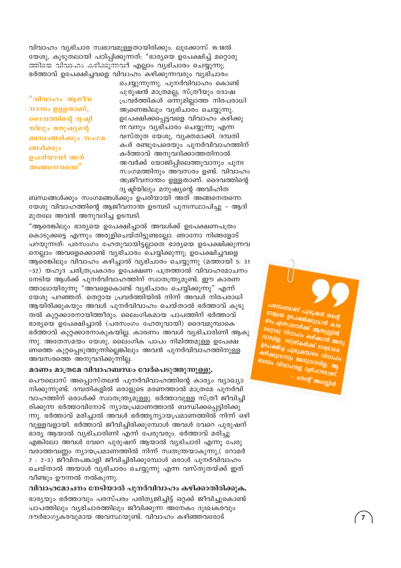വിവാഹം വ്യഭിചാര സ്വഭാവമുള്ളതായിരിക്കും. ലൂക്കോസ് 16:18ൽ യേശു, കൂടുതലായി പഠിപ്പിക്കുന്നത്: "ഭാര്യയെ ഉപേക്ഷിച്ച് മറ്റൊരു ത്തിയെ വിവാഹം കഴിക്കുന്നവർ എല്ലാം വ്യഭിചാരം ചെയ്യുന്നു; ഭർത്താവ് ഉപേക്ഷിച്ചവളെ വിവാഹം കഴിക്കുന്നവരും വ്യഭിചാരം

"വിവാഹം ആജീവ നാന്തം ഉള്ളതാണ്, ദൈവത്തിന്റെ ദൃഷ്ടി യിലും മനുഷ്യന്റെ ബന്ധങ്ങൾക്കും സംഗമ ങ്ങൾക്കും ഉപരിയായി അത് അങ്ങനെതന്നെ"

ചെയ്യുന്നുന്നു. പുനർവിവാഹം കൊണ്ട് പുരുഷൻ മാത്രമല്ല, സ്ത്രീയും ദോഷ പ്രവർത്തികൾ ഒന്നുമില്ലാത്ത നിരപരാധി ആണെങ്കിലും വ്യഭിചാരം ചെയ്യുന്നു. ഉപേക്ഷിക്കപ്പെട്ടവളെ വിവാഹം കഴിക്കു ന്നവനും വ്യഭിചാരം ചെയ്യുന്നു എന്ന വസ്തുത യേശു, വൃക്തമാക്കി. ദമ്പതി കൾ രണ്ടുപേരെയും പുനർവിവാഹത്തിന് കർത്താവ് അനുവദിക്കാത്തതിനാൽ അവർക്ക് യോജിപ്പിലെത്തുവാനും പുനഃ സംഗമത്തിനും അവസരം ഉണ്ട്. വിവാഹം ആജീവനാന്തം ഉള്ളതാണ്. ദൈവത്തിന്റെ ദൃഷ്ടിയിലും മനുഷ്യന്റെ അവിഹിത

ബന്ധങ്ങൾക്കും സംഗമങ്ങൾക്കും ഉപരിയായി അത് അങ്ങനെതന്നെ. യേശു വിവാഹത്തിന്റെ ആജീവനാന്ത ഉടമ്പടി പുനഃസ്ഥാപിച്ചു – ആദി മുതലേ അവൻ അനുവദിച്ച ഉടമ്പടി.

"ആരെങ്കിലും ഭാര്യയെ ഉപേക്ഷിച്ചാൽ അവൾക്ക് ഉപേക്ഷണപത്രം കൊടുക്കട്ടെ എന്നും അരുളിചെയ്തിട്ടുണ്ടല്ലോ. ഞാനോ നിങ്ങളോട് പറയുന്നത്: പരസംഗം ഹേതുവായിട്ടല്ലാതെ ഭാര്യയെ ഉപേക്ഷിക്കുന്നവ നെല്ലാം അവളെക്കൊണ്ട് വ്യഭിചാരം ചെയ്യിക്കുന്നു; ഉപേക്ഷിച്ചവളെ ആരെങ്കിലും വിവാഹം കഴിച്ചാൽ വ്യഭിചാരം ചെയ്യുന്നു (മത്തായി 5: 31 -32) യഹുദ ചരിത്രപ്രകാരം ഉപേക്ഷണ പത്രത്താൽ വിവാഹമോചനം നേടിയ ആൾക്ക് പുനർവിവാഹത്തിന് സ്വാതന്ത്ര്യമുണ്ട്. ഈ കാരണ ത്താലായിരുന്നു "അവളെകൊണ്ട് വ്യഭിചാരം ചെയ്യിക്കുന്നു" എന്ന് യേശു പറഞ്ഞത്. തെറ്റായ പ്രവർത്തിയിൽ നിന്ന് അവൾ നിരപരാധി ആയിരിക്കുകയും അവൾ പുനർവിവാഹം ചെയ്താൽ ഭർത്താവ് കൂടു തൽ കുറ്റക്കാരനായിത്തീരും. ലൈംഗികമായ പാപത്തിന് ഭർത്താവ് ഭാര്യയെ ഉപേക്ഷിച്ചാൽ (പരസംഗം ഹേതുവായി) ദൈവമുമ്പാകെ ഭർത്താവ് കുറ്റക്കാരനാകുകയില്ല. കാരണം അവൾ വ്യഭിചാരിണി ആകു ന്നു. അതേസമയം യേശു, ലൈംഗിക പാപം നിമിത്തമുള്ള ഉപേക്ഷ ണത്തെ കുറ്റപ്പെടുത്തുന്നില്ലെങ്കിലും അവൻ പുനർവിവാഹത്തിനുള്ള അവസരത്തെ അനുവദിക്കുന്നില്ല.

#### മരണം മാത്രമേ വിവാഹബന്ധം വേർപെടുത്തുന്നുള്ളു.

പൌലൊസ് അപ്പൊസ്തലൻ പുനർവിവാഹത്തിന്റെ കാര്യം വ്യാഖ്യാ നിക്കുന്നുണ്ട്. ദമ്പതികളിൽ ഒരാളുടെ മരണത്താൽ മാത്രമേ പുനർവി വാഹത്തിന് ഒരാൾക്ക് സ്വാതന്ത്ര്യമുള്ളു. ഭർത്താവുള്ള സ്ത്രീ ജീവിച്ചി രിക്കുന്ന ഭർത്താവിനോട് ന്യായപ്രമാണത്താൽ ബന്ധിക്കപ്പെട്ടിരിക്കു ന്നു. ഭർത്താവ് മരിച്ചാൽ അവൾ ഭർത്ത്യന്യായപ്രമാണത്തിൽ നിന്ന് ഒഴി വുള്ളവളായി. ഭർത്താവ് ജീവിച്ചിരിക്കുമ്പോൾ അവൾ വേറെ പുരുഷന് ഭാര്യ ആയാൽ വ്യഭിചാരിണി എന്ന് പേരുവരും. ഭർത്താവ് മരിച്ചു എങ്കിലോ അവൾ വേറെ പുരുഷന് ആയാൽ വ്യഭിചാരി എന്നു പേരു വരാത്തവണ്ണം ന്യായപ്രമാണത്തിൽ നിന്ന് സ്വതന്ത്രയാകുന്നു,( റോമർ 7 : 2-3) ജീവിതപങ്കാളി ജീവിച്ചിരിക്കുമ്പോൾ ഒരാൾ പുനർവിവാഹം ചെയ്താൽ അയാൾ വ്യഭിചാരം ചെയ്യുന്നു എന്ന വസ്തുതയ്ക്ക് ഇത് വീണ്ടും ഊന്നൽ നൽകുന്നു.

വിവാഹമോചനം നേടിയാൽ പുനർവിവാഹം കഴിക്കാതിരിക്കുക. ഭാര്യയും ഭർത്താവും പരസ്പരം പരിത്യജിച്ചിട്ട് ഒറ്റക്ക് ജീവിച്ചുകൊണ്ട് പാപത്തിലും വ്യഭിചാരത്തിലും ജീവിക്കുന്ന അനേകം ദുഃഖകരവും ദൗർഭാഗ്യകരവുമായ അവസ്ഥയുണ്ട്. വിവാഹം കഴിഞ്ഞവരോട്

പരസംഗമാണ് പുരുഷൻ തന്റെ രാര്യയെ ഉപേക്ഷിക്കുവാൻ കാര ണം. എന്നാലവർക്ക് ആയുസ്സിൽ <sub>200</sub>03 വിവാഹം കഴിക്കാൻ അനു വാദമില്ല. സ്ത്രീകൾക്ക് ഭാര്യമാരെ .<br>ഉപേക്ഷിച്ച പുരുഷന്മാരെ വിവാഹം കഴിക്കുവാനും അനുവാദമില്ല. ആ ബന്ധം വിവാഹമല്ല വ്യഭിചാരമാണ്. - നെന്റ് അഗസ്റ്റിൻ

 $\overline{7}$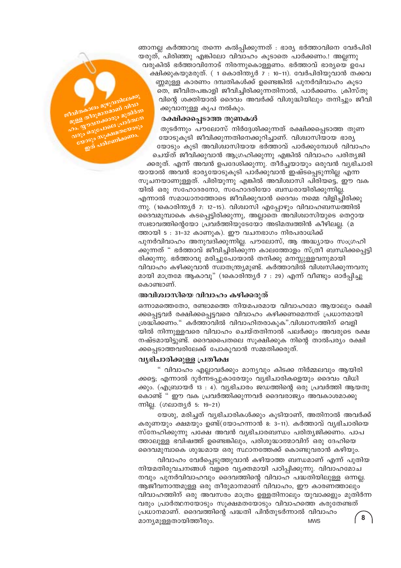ിവിതകാലം മുഴുവനിലേ മുള്ള തിരുമാനമാണ് വിവാ . godinasogo ajolam Joys BoyGalonel Glodobon **OJEJO MJAMADEDIJO** 210 alglosmlassmo.

ഞാനല്ല കർത്താവു തന്നെ കൽപ്പിക്കുന്നത് : ഭാര്യ ഭർത്താവിനെ വേർപിരി യരുത്, പിരിഞ്ഞു എങ്കിലോ വിവാഹം കൂടാതെ പാർക്കണം.! അല്ലന്നു വരുകിൽ ഭർത്താവിനോട് നിരന്നുകൊള്ളണം. ഭർത്താവ് ഭാര്യയെ ഉപേ ക്ഷിക്കുകയുമരുത്. ( 1 കൊരിന്ത്യർ 7 : 10–11). വേർപിരിയുവാൻ തക്കവ ണ്ണമുള്ള കാരണം ദമ്പതികൾക്ക് ഉണ്ടെങ്കിൽ പുനർവിവാഹം കൂടാ തെ, ജീവിതപങ്കാളി ജീവിച്ചിരിക്കുന്നതിനാൽ, പാർക്കണം. ക്രിസ്തു വിന്റെ ശക്തിയാൽ ദൈവം അവർക്ക് വിശുദ്ധിയിലും തനിച്ചും ജീവി ക്കുവാനുള്ള കൃപ നൽകും.

#### രക്ഷിക്കപ്പെടാത്ത തുണകൾ

തുടർന്നും പൗലോസ് നിർദ്ദേശിക്കുന്നത് രക്ഷിക്കപ്പെടാത്ത തുണ യോടുകുടി ജീവിക്കുന്നതിനെക്കുറിച്ചാണ്. വിശ്വാസിയായ ഭാര്യ യോടും കൂടി അവിശ്വാസിയായ ഭർത്താവ് പാർക്കുമ്പോൾ വിവാഹം ചെയ്ത് ജീവിക്കുവാൻ ആഗ്രഹിക്കുന്നു എങ്കിൽ വിവാഹം പരിത്യജി ക്കരുത്. എന്ന് അവൻ ഉപദേശിക്കുന്നു. തീർച്ചയായും ഒരുവൻ വ്യഭിചാരി യായാൽ അവൻ ഭാര്യയോടുകൂടി പാർക്കുവാൻ ഇഷ്ടപ്പെടുന്നില്ല എന്ന സുചനയാണുള്ളത്. പിരിയുന്നു എങ്കിൽ അവിശ്വാസി പിരിയട്ടെ, ഈ വക യിൽ ഒരു സഹോദരനോ, സഹോദരിയോ ബന്ധരായിരിക്കുന്നില്ല. എന്നാൽ സമാധാനത്തോടെ ജീവിക്കുവാൻ ദൈവം നമ്മെ വിളിച്ചിരിക്കു ന്നു. (1കൊരിന്ത്യർ 7: 12-15). വിശ്വാസി എപ്പോഴും വിവാഹബന്ധത്തിൽ ദൈവമുമ്പാകെ കടപ്പെട്ടിരിക്കുന്നു, അല്ലാതെ അവിശ്വാസിയുടെ തെറ്റായ സ്വഭാവത്തിന്റെയോ പ്രവർത്തിയുടേയോ അടിമത്വത്തിൻ കീഴിലല്ല. (മ ത്തായി 5 : 31-32 കാണുക). ഈ വചനഭാഗം നിരപരാധിക്ക് പുനർവിവാഹം അനുവദിക്കുന്നില്ല. പൗലോസ്, ആ അദ്ധ്യായം സംഗ്രഹി ക്കുന്നത്" ഭർത്താവ് ജീവിച്ചിരിക്കുന്ന കാലത്തോളം സ്ത്രീ ബന്ധിക്കപ്പെട്ടി രിക്കുന്നു. ഭർത്താവു മരിച്ചുപോയാൽ തനിക്കു മനസ്സുള്ളവനുമായി വിവാഹം കഴിക്കുവാൻ സ്വാതന്ത്ര്യമുണ്ട്. കർത്താവിൽ വിശ്വസിക്കുന്നവനു മായി മാത്രമേ ആകാവൂ" (1കൊരിന്ത്യർ 7 : 29) എന്ന് വീണ്ടും ഓർപ്പിച്ചു കൊണ്ടാണ്.

#### അവിശ്വാസിയെ വിവാഹം കഴിക്കരുത്

ഒന്നാമത്തെതോ, രണ്ടാമത്തെ നിയമപരമായ വിവാഹമോ ആയാലും രക്ഷി ക്കപ്പെട്ടവർ രക്ഷിക്കപ്പെട്ടവരെ വിവാഹം കഴിക്കണമെന്നത് പ്രധാനമായി ശ്രദ്ധിക്കണം." കർത്താവിൽ വിവാഹിതരാകുക".വിശ്വാസത്തിന് വെളി യിൽ നിന്നുള്ളവരെ വിവാഹം ചെയ്തതിനാൽ പലർക്കും അവരുടെ രക്ഷ നഷ്ടമായിട്ടുണ്ട്. ദൈവപൈതലെ സുക്ഷിക്കുക നിന്റെ താൽപര്യം രക്ഷി ക്കപ്പെടാത്തവരിലേക്ക് പോകുവാൻ സമ്മതിക്കരുത്.

#### വൃഭിചാരിക്കുള്ള പ്രതീക്ഷ

" വിവാഹം എല്ലാവർക്കും മാന്യവും കിടക്ക നിർമ്മലവും ആയിരി ക്കട്ടെ; എന്നാൽ ദുർന്നടപ്പുകാരേയും വ്യഭിചാരികളെയും ദൈവം വിധി ക്കും. (എബ്രായർ 13 : 4). വ്യഭിചാരം ജഡത്തിന്റെ ഒരു പ്രവർത്തി ആയതു കൊണ്ട്" ഈ വക പ്രവർത്തിക്കുന്നവർ ദൈവരാജ്യം അവകാശമാക്കു ന്നില്ല. (ഗലാതൃർ 5: 19-21)

യേശു, മരിച്ചത് വ്യഭിചാരികൾക്കും കൂടിയാണ്, അതിനാൽ അവർക്ക് കരുണയും ക്ഷമയും ഉണ്ട്(യോഹന്നാൻ 8: 3–11). കർത്താവ് വ്യഭിചാരിയെ സ്നേഹിക്കുന്നു പക്ഷേ അവൻ വ്യഭിചാരബന്ധം പരിത്യജിക്കണം. പാപ ത്താലുള്ള ഭവിഷത്ത് ഉണ്ടെങ്കിലും, പരിശുദ്ധാത്മാവിന് ഒരു ദേഹിയെ ദൈവമുമ്പാകെ ശുദ്ധമായ ഒരു സ്ഥാനത്തേക്ക് കൊണ്ടുവരാൻ കഴിയും.

വിവാഹം വേർപ്പെടുത്തുവാൻ കഴിയാത്ത ബന്ധമാണ് എന്ന് പുതിയ നിയമതിരുവചനങ്ങൾ വളരെ വ്യക്തമായി പഠിപ്പിക്കുന്നു. വിവാഹമോച നവും പുനർവിവാഹവും ദൈവത്തിന്റെ വിവാഹ പദ്ധതിയിലുള്ള ഒന്നല്ല. ആജീവനാന്തമുള്ള ഒരു തീരുമാനമാണ് വിവാഹം, ഈ കാരണത്താലും വിവാഹത്തിന് ഒരു അവസരം മാത്രം ഉള്ളതിനാലും യുവാക്കളും മുതിർന്ന വരും പ്രാർത്ഥനയോടും സൂക്ഷമതയോടും വിവാഹത്തെ കരുതേണ്ടത് പ്രധാനമാണ്. ദൈവത്തിന്റെ പദ്ധതി പിൻതുടർന്നാൽ വിവാഹം 8 മാന്യമുള്ളതായിത്തീരും. **MWS**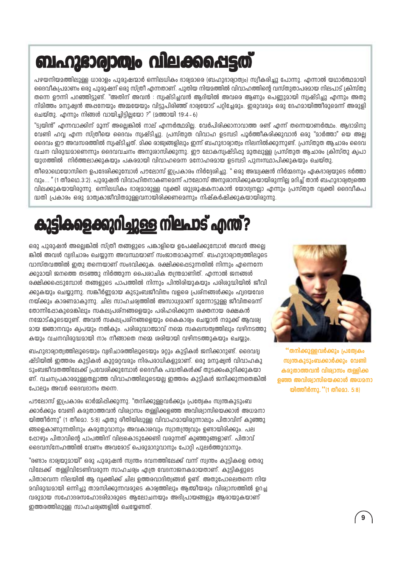## ബഹുദാര്വാത്വം വിലക്കപ്പെട്ടത്

പഴയനിയമത്തിലുള്ള ധാരാളം പുരുഷന്മാർ ഒന്നിലധികം ഭാര്വമാരെ (ബഹുഭാര്വാത്വം) സ്വീകരിച്ചു പോന്നു. എന്നാൽ യഥാർത്ഥമായി ദൈവീകപ്രമാണം ഒരു പുരുഷന് ഒരു സ്ത്രീ എന്നതാണ്. പുതിയ നിയമത്തിൽ വിവാഹത്തിൻെ വസ്തുതാപരമായ നിലപാട് ക്രിസ്തു തന്നെ ഊന്നി പറഞ്ഞിട്ടുണ്ട്. "അതിന് അവൻ : സ്വഷ്ടിച്ചവൻ ആദിയിൽ അവരെ ആണും പെണ്ണുമായി സ്വഷ്ടിച്ചു എന്നും അതു നിമിത്തം മനുഷ്വൻ അഷനേയും അമ്മയേയും വിട്ടുപിരിഞ്ഞ് ദാര്വയോട് പറ്റിച്ചേരും. ഇരുവരും ഒരു ദേഹമായിത്തീരുമെന്ന് അരുളി ചെയ്തു. എന്നും നിങ്ങൾ വായിച്ചിട്ടില്ലയോ ?" (മത്തായി 19:4 – 6)

"ട്വയിൻ" എന്നവാക്കിന് മാന്ന് അലെങ്കിൽ നാല് എന്നർത്ഥമില. വേർപിരിക്കാനാവാത്ത രണ്ട് എന്ന് തന്നെയാണർത്ഥം. അദാമിനാ വേണ്ടി ഹവ എന്ന സ്ത്രീയെ ദൈവം സ്വഷ്ടിച്ചു. പ്രസ്തുത വിവാഹ ഉടമ്പടി പൂർത്തീകരിക്കുവാൻ ഒരു "മാർത്താ" യെ അല ദൈവം ഈ അവസരത്തിൽ സ്വഷ്ടിച്ചത്. മിക്ക രാജ്വങ്ങളിലും ഇന്ന് ബഹുദാര്വാത്വം നിലനിൽക്കുന്നുണ്ട്. പ്രസ്തുത ആചാരം ദൈവ വചന വിരുദ്ധമാണെന്നും ദൈവവചനം അനുശാസിക്കുന്നു. ഈ ലോകസ്വഷ്ടിഷു മുതലുള്ള പ്രസ്തുത ആചാരം ക്രിസ്തു ക്വപാ യുഗത്തിൽ നിർത്തലാക്കുകയും പകരമായി വിവാഹമെന്ന മനോഹരമായ ഉടമ്പടി പുനഃസ്ഥാപിക്കുകയും ചെയ്തു.

തീമൊഥെയോസിനെ ഉപദേശിക്കുമ്പോൾ പൗലോസ് ഇപ്രകാരം നിർദ്ദേശിച്ചു. " ഒരു അദ്ധ്വക്ഷൻ നിർമ്മദനും ഏകദാര്യയുടെ ഭർത്താ വും... " (1 തീമഥെ.3:2). പുരുഷൻ വിവാഹിതനാകണമെന്ന് പൗലോസ് അനുശാസിക്കുകയായിരുന്നില്ല മറിച്ച് താൻ ബഹുദാര്വത്വത്തെ വിലക്കുകയായിരുന്നു. ഒന്നിലധികം ഭാര്വമാരുള്ള വ്വക്തി ശുശ്രൂഷകനാകാൻ യോഗ്വനല്ലാ എന്നും പ്രസ്തുത വ്വക്തി ദൈവീകപ ദ്ധതി പ്രകാരം ഒരു മാത്വകാജീവിതമുള്ളവനായിരിക്കണമെന്നും നിഷ്കർഷിക്കുകയായിരുന്നു.

## കുട്ടികളെക്കുറിച്ചുള്ള നിലപാട് എന്ത്?

ഒരു പുരുഷൻ അല്ലെങ്കിൽ സ്ത്രീ തങ്ങളുടെ പങ്കാളിയെ ഉപേക്ഷിക്കുമ്പോൾ അവൻ അല്ലെ ങ്കിൽ അവൾ വ്വദിചാരം ചെയ്യുന്ന അവസ്ഥയാണ് സംജാതമാകുന്നത്. ബഹുദാര്വാത്വത്തിലൂടെ വാസ്തവത്തിൽ ഇതു തന്നെയാണ് സംഭവിക്കുക. രക്ഷിക്കപ്പെടുന്നതിൽ നിന്നും എന്നെന്നേ ക്കുമായി ജനത്തെ തടഞ്ഞു നിർത്തുന്ന പൈശാചിക തന്ത്രമാണിത്. എന്നാൽ ജനങ്ങൾ രക്ഷിക്കപ്പെടുമ്പോൾ തങ്ങളുടെ പാപത്തിൽ നിന്നും പിന്തിരിയുകയും പരിശുദ്ധിയിൽ ജീവി ക്കുകയും ചെയ്യുന്നു. സങ്കീർണ്ണമായ കുടുംബജീവിതം വളരെ പ്രശ്നങ്ങൾക്കും ഹ്വദയവേദ നയ്ക്കും കാരണമാകുന്നു. ചില സാഹചര്വത്തിൽ അസാധ്വമാണ് മുന്നോട്ടുള്ള ജീവിതമെന്ന് തോന്നിപ്പോകുമെങ്കിലും സകല്യപ്പത്നങ്ങളെയും പരിഹരിക്കുന്ന ശക്തനായ രക്ഷകൻ നമ്മോട്കൂടെയുണ്ട്. അവൻ സകലപ്രശ്നങ്ങളെയും കൈകാര്വം ചെയ്യാൻ നമുക്ക് ആവശ്വ മായ ജ്ഞാനവും ക്വപയും നൽകും. പരിശുദ്ധാത്മാവ് നമ്മെ സകലസത്വത്തിലും വഴിനടത്തു കയും വചനവിരുദ്ധമായി നാം നീങ്ങാതെ നമ്മെ ശരിയായി വഴിനടത്തുകയും ചെയ്യും.

ബഹുദാര്വാത്വത്തിലൂടെയും വ്വഭിചാരത്തിലൂടെയും മറ്റും കുട്ടികൾ ജനിക്കാറുണ്ട്. ദൈവദ്വ ഷ്ടിയിൽ ഇത്തരം കുട്ടികൾ കുറ്റമറ്റവരും നിരപരാധികളുമാണ്. ഒരു മനുഷ്വൻ വിവാഹകു ടുംബജീവതത്തിലേക്ക് പ്രവേശിക്കുമ്പോൾ ദൈവീക പദ്ധതികൾക്ക് തുടക്കംകുറിക്കുകയാ ണ്. വചനപ്രകാരമുള്ളതല്ലാത്ത വിവാഹത്തിലൂടെയല്ല ഇത്തരം കുട്ടികൾ ജനിക്കുന്നതെങ്കിൽ പോലും അവർ ദൈവദാനം തന്നെ.

പൗലോസ് ഇപ്രകാരം ഓർമ്മിപ്പിക്കുന്നു. "തനിക്കുള്ളവർക്കും പ്രത്വേകം സ്വന്തകുടുംബ ക്കാർക്കും വേണ്ടി കരുതാത്തവൻ വിശ്വാസം തള്ളിക്കളഞ്ഞ അവിശ്വാസിയെക്കാൾ അധമനാ യിത്തീർന്നു" (1 തീമൊ. 5:8) ഏതു രീതിയിലുള്ള വിവാഹമായിരുന്നാലും പിതാവിന് കുഞ്ഞു ങ്ങളെകാണുന്നതിനും കരുതുവാനും അവകാശവും സ്വാതന്ത്ര്വവും ഉണ്ടായിരിക്കും. പല ഷോഴും പിതാവിന്റെ പാപത്തിന് വിലകൊടുക്കേണ്ടി വരുന്നത് കുഞ്ഞുങ്ങളാണ്. പിതാവ് ദൈവസ്നേഹത്തിൽ വേണം അവരോട് പെരുമാറുവാനും പോറി പുലർത്തുവാനും.

"രണ്ടാം ഭാര്വയുമായി" ഒരു പുരുഷൻ സ്വന്തം ഭവനത്തിലേക്ക് വന്ന് സ്വന്തം കുട്ടികളെ തെരു വിലേക്ക് തള്ളിവിടേണ്ടിവരുന്ന സാഹചര്വം ഹ്വത വേദനാജനകമായതാണ്. കുടികളുടെ പിതാവെന്ന നിലയിൽ ആ വ്വക്തിക്ക് ചില ഉത്തരവാദിത്വങ്ങൾ ഉണ്ട്. അതുപോലെതന്നെ നിയ മവിരുദ്ധമായി ഒന്നിച്ചു താമസിക്കുന്നവരുടെ കാര്വത്തിലും ആത്മീയരും വിശ്വാസത്തിൽ ഉറച്ച വരുമായ സഹോദരസഹോദരിമാരുടെ ആലോചനയും അഭിപ്രായങ്ങളും ആരായുകയാണ് ഇത്തരത്തിലുള്ള സാഹചര്വങ്ങളിൽ ചെയേണ്ടത്.



<mark>''തനിക്കുള്ളവർക്കും പ്രത്വേകം</mark> സ്വന്തകുടുംബക്കാർക്കും വേണ്ടി കരുതാത്തവൻ വിശ്വാസം തള്ളിക്ക ളഞ്ഞ അവി**ശ്വാസിയെക്കാൾ അധ**മനാ യിത്തീർന്നു. "(1 തീമൊ. 5:8)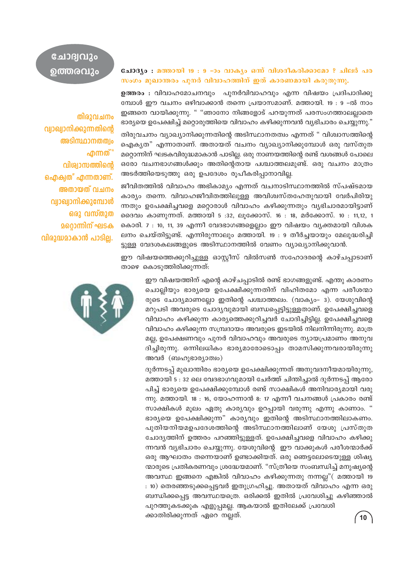#### ചോദ്യം : മത്തായി 19 : 9 -ാം വാക്യം ഒന്ന് വിശദീകരിക്കാമോ ? ചിലർ പര സംഗം മുഖാന്തരം പുനർ വിവാഹത്തിന് ഇത് കാരണമായി കരുതുന്നു.

ഉത്തരം : വിവാഹമോചനവും പുനർവിവാഹവും എന്ന വിഷയം പ്രദിപാദിക്കു മ്പോൾ ഈ വചനം ഒഴിവാക്കാൻ തന്നെ പ്രയാസമാണ്. മത്തായി. 19 : 9 -ൽ നാം ഇങ്ങനെ വായിക്കുന്നു. " "ഞാനോ നിങ്ങളോട് പറയുന്നത് പരസംഗത്താലല്ലാതെ ഭാര്യയെ ഉപേക്ഷിച്ച് മറ്റൊരുത്തിയെ വിവാഹം കഴിക്കുന്നവൻ വ്യഭിചാരം ചെയ്യുന്നു."

തിരുവചനം വ്യാഖ്യാനിക്കുന്നതിന്റെ അടിസ്ഥാനതത്വം എന്നത് " വിശ്വാസത്തിന്റെ ഐക്യത" എന്നാതാണ്. അതായത് വചനം വ്യാഖ്യാനിക്കുമ്പോൾ ഒരു വസ്തുത മറ്റൊന്നിന് ഘടകവിരുദ്ധമാകാൻ പാടില്ല. ഒരു നാണയത്തിന്റെ രണ്ട് വശങ്ങൾ പോലെ ഒരോ വചനഭാഗങ്ങൾക്കും അതിന്റെതായ പശ്ചാത്തലമുണ്ട്. ഒരു വചനം മാത്രം അടർത്തിയെടുത്തു ഒരു ഉപദേശം രൂപീകരിപ്പാനാവില്ല.

ജീവിതത്തിൽ വിവാഹം അഭികാമ്യം എന്നത് വചനാടിസ്ഥാനത്തിൽ സ്പഷ്ടമായ കാര്യം തന്നെ. വിവാഹജീവിതത്തിലുള്ള അവിശ്വസ്തഹേതുവായി വേർപിരിയു ന്നതും ഉപേക്ഷിച്ചവളെ മറ്റൊരാൾ വിവാഹം കഴിക്കുന്നതും വ്യഭിചാരമായിട്ടാണ് ദൈവം കാണുന്നത്. മത്തായി 5 :32, ലൂക്കോസ്. 16 : 18, മർക്കോസ്. 10 : 11,12, 1 കൊരി. 7 : 10, 11, 39 എന്നീ വേദഭാഗങ്ങളെല്ലാം ഈ വിഷയം വ്യക്തമായി വിശക ലനം ചെയ്തിട്ടുണ്ട്. എന്നിരുന്നാലും മത്തായി. 19 : 9 തീർച്ചയായും മേലുദ്ധരിച്ചി ട്ടുള്ള വേദശകലങ്ങളുടെ അടിസ്ഥാനത്തിൽ വേണം വ്യാഖ്യാനിക്കുവാൻ.

ഈ വിഷയത്തെക്കുറിച്ചുള്ള ഓസ്റ്റീസ് വിൽസൺ സഹോദരന്റെ കാഴ്ചപ്പാടാണ് താഴെ കൊടുത്തിരിക്കുന്നത്:

ഈ വിഷയത്തിന് എന്റെ കാഴ്ചപ്പാടിൽ രണ്ട് ഭാഗങ്ങളുണ്ട്. എന്തു കാരണം ചൊല്ലിയും ഭാര്യയെ ഉപേക്ഷിക്കുന്നതിന് വിഹിതമോ എന്ന പരീശന്മാ രുടെ ചോദ്യമാണല്ലോ ഇതിന്റെ പശ്ചാത്തലം. (വാക്യം– 3). യേശുവിന്റെ മറുപടി അവരുടെ ചോദ്യവുമായി ബന്ധപ്പെട്ടിട്ടുള്ളതാണ്. ഉപേക്ഷിച്ചവളെ വിവാഹം കഴിക്കുന്ന കാര്യത്തെക്കുറിച്ചവർ ചോദിച്ചിട്ടില്ല. ഉപേക്ഷിച്ചവളെ വിവാഹം കഴിക്കുന്ന സമ്പ്രദായം അവരുടെ ഇടയിൽ നിലനിന്നിരുന്നു. മാത്ര മല്ല, ഉപേക്ഷണവും പുനർ വിവാഹവും അവരുടെ ന്യായപ്രമാണം അനുവ ദിച്ചിരുന്നു. ഒന്നിലധികം ഭാര്യമാരോടൊപ്പം താമസിക്കുന്നവരായിരുന്നു അവർ (ബഹുഭാര്യാത്വം)

ദുർന്നടപ്പ് മുഖാന്തിരം ഭാര്യയെ ഉപേക്ഷിക്കുന്നത് അനുവദനീയമായിരുന്നു, മത്തായി 5 : 32 ലെ വേദഭാഗവുമായി ചേർത്ത് ചിന്തിച്ചാൽ ദുർന്നടപ്പ് ആരോ പിച്ച് ഭാര്യയെ ഉപേക്ഷിക്കുമ്പോൾ രണ്ട് സാക്ഷികൾ അനിവാര്യമായി വരു ന്നു. മത്തായി. 18 : 16, യോഹന്നാൻ 8: 17 എന്നീ വചനങ്ങൾ പ്രകാരം രണ്ട് സാക്ഷികൾ മൂലം ഏതു കാര്യവും ഉറപ്പായി വരുന്നു എന്നു കാണാം. " ഭാര്യയെ ഉപേക്ഷിക്കുന്ന" കാര്യവും ഇതിന്റെ അടിസ്ഥാനത്തിലാകണം. പുതിയനിയമഉപദേശത്തിന്റെ അടിസ്ഥാനത്തിലാണ് യേശു പ്രസ്തുത ചോദ്യത്തിന് ഉത്തരം പറഞ്ഞിട്ടുള്ളത്. ഉപേക്ഷിച്ചവളെ വിവാഹം കഴിക്കു ന്നവൻ വ്യഭിചാരം ചെയ്യുന്നു. യേശുവിന്റെ ഈ വാക്കുകൾ പരീശന്മാർക്ക് ഒരു ആഘാതം തന്നെയാണ് ഉണ്ടാക്കിയത്. ഒരു ഞെട്ടലോടെയുള്ള ശിഷ്യ ന്മാരുടെ പ്രതികരണവും ശ്രദ്ധേയമാണ്. "സ്ത്രീയെ സംബന്ധിച്ച് മനുഷ്യന്റെ അവസ്ഥ ഇങ്ങനെ എങ്കിൽ വിവാഹം കഴിക്കുന്നതു നന്നല്ല"( മത്തായി 19 : 10) തെരഞ്ഞടുക്കപ്പെട്ടവർ ഇതുഗ്രഹിച്ചു. അതായത് വിവാഹം എന്ന ഒരു ബന്ധിക്കപ്പെട്ട അവസ്ഥയത്രെ. ഒരിക്കൽ ഇതിൽ പ്രവേശിച്ചു കഴിഞ്ഞാൽ പുറത്തുകടക്കുക എളുപ്പമല്ല. ആകയാൽ ഇതിലേക്ക് പ്രവേശി ക്കാതിരിക്കുന്നത് ഏറെ നല്ലത്.

ചോദ്വവും ഉത്തരവും

തിരുവചനം വ്വാഖ്വാനിക്കുന്നതിന്റെ അടിസ്ഥാനതത്വം **എന്നത്**' വിശ്വാസത്തിന്റെ ഐക്വത" എന്നതാണ്. അതായത് വചനം വ്വാഖ്വാനിക്കുമ്പോൾ ഒരു വസ്തുത <u> മറൊന്നിന് ഘടക</u> വിരുദ്ധമാകാൻ പാടില്ല.

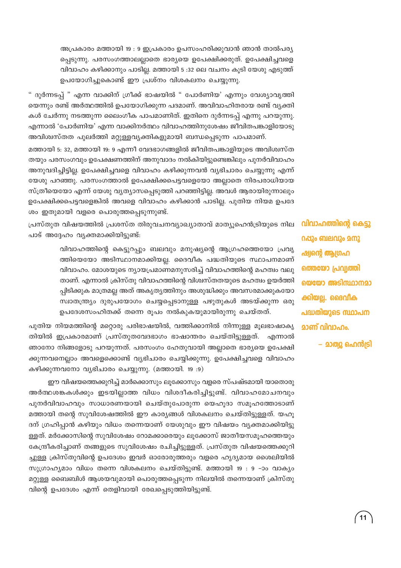അപ്രകാരം മത്തായി 19 : 9 ഇപ്രകാരം ഉപസംഹരിക്കുവാൻ ഞാൻ താൽപര്യ പ്പെടുന്നു. പരസംഗത്താലല്ലാതെ ഭാര്യയെ ഉപേക്ഷിക്കരുത്. ഉപേക്ഷിച്ചവളെ വിവാഹം കഴിക്കാനും പാടില്ല. മത്തായി 5 :32 ലെ വചനം കൂടി യേശു എടുത്ത് ഉപയോഗിച്ചുകൊണ്ട് ഈ പ്രശ്നം വിശകലനം ചെയ്യുന്നു.

" ദുർന്നടപ്പ് " എന്ന വാക്കിന് ഗ്രീക്ക് ഭാഷയിൽ " പോർണിയ' എന്നും വേശ്യാവൃത്തി യെന്നും രണ്ട് അർത്ഥത്തിൽ ഉപയോഗിക്കുന്ന പദമാണ്. അവിവാഹിതരായ രണ്ട് വ്യക്തി കൾ ചേർന്നു നടത്തുന്ന ലൈംഗീക പാപമാണിത്. ഇതിനെ ദുർന്നടപ്പ് എന്നു പറയുന്നു. എന്നാൽ 'പോർണിയ' എന്ന വാക്കിനർത്ഥം വിവാഹത്തിനുശേഷം ജീവിതപങ്കാളിയോടു അവിശ്വസ്തത പുലർത്തി മറ്റുള്ളവൃക്തികളുമായി ബന്ധപ്പെടുന്ന പാപമാണ്.

മത്തായി 5: 32, മത്തായി 19: 9 എന്നീ വേദഭാഗങ്ങളിൽ ജീവിതപങ്കാളിയുടെ അവിശ്വസ്ത തയും പരസംഗവും ഉപേക്ഷണത്തിന് അനുവാദം നൽകിയിട്ടുണ്ടെങ്കിലും പുനർവിവാഹം അനുവദിച്ചിട്ടില്ല. ഉപേക്ഷിച്ചവളെ വിവാഹം കഴിക്കുന്നവൻ വ്യഭിചാരം ചെയ്യുന്നു എന്ന് യേശു പറഞ്ഞു. പരസംഗത്താൽ ഉപേക്ഷിക്കപെട്ടവളെയോ അല്ലാതെ നിരപരാധിയായ സ്ത്രീയെയോ എന്ന് യേശു വ്യത്യാസപ്പെടുത്തി പറഞ്ഞിട്ടില്ല. അവൾ ആരായിരുന്നാലും ഉപേക്ഷിക്കപെട്ടവളെങ്കിൽ അവളെ വിവാഹം കഴിക്കാൻ പാടില്ല. പുതിയ നിയമ ഉപദേ ശം ഇതുമായി വളരെ പൊരുത്തപ്പെടുന്നുണ്ട്.

പ്രസ്തുത വിഷയത്തിൽ പ്രശസ്ത തിരുവചനവ്യാഖ്യാതാവ് മാത്യൂഹെൻട്രിയുടെ നില പാട് അദ്ദേഹം വൃക്തമാക്കിയിട്ടുണ്ട്:

> വിവാഹത്തിന്റെ കെട്ടുറപ്പും ബലവും മനുഷ്യന്റെ ആഗ്രഹത്തെയോ പ്രവൃ ത്തിയെയോ അടിസ്ഥാനമാക്കിയല്ല. ദൈവീക പദ്ധതിയുടെ സ്ഥാപനമാണ് വിവാഹം. മോശയുടെ ന്യായപ്രമാണമനുസരിച്ച് വിവാഹത്തിന്റെ മഹത്വം വലു താണ്. എന്നാൽ ക്രിസ്തു വിവാഹത്തിന്റെ വിശ്വസ്തതയുടെ മഹത്വം ഉയർത്തി പ്പിടിക്കുക മാത്രമല്ല അത് അകൃതൃത്തിനും അശുദ്ധിക്കും അവസരമാക്കുകയോ സ്വാതന്ത്ര്യം ദുരുപയോഗം ചെയ്യപ്പെടാനുള്ള പഴുതുകൾ അടയ്ക്കുന്ന ഒരു ഉപദേശസംഹിതക്ക് തന്നെ രൂപം നൽകുകയുമായിരുന്നു ചെയ്തത്.

പുതിയ നിയമത്തിന്റെ മറ്റൊരു പരിഭാഷയിൽ, വത്തിക്കാനിൽ നിന്നുള്ള മൂലഭാഷാകൃ തിയിൽ ഇപ്രകാരമാണ് പ്രസ്തുതവേദഭാഗം ഭാഷാന്തരം ചെയ്തിട്ടുള്ളത്. എന്നാൽ ഞാനോ നിങ്ങളോടു പറയുന്നത്. പരസംഗം ഹേതുവായി അല്ലാതെ ഭാര്യയെ ഉപേക്ഷി ക്കുന്നവനെല്ലാം അവളെക്കൊണ്ട് വ്യഭിചാരം ചെയ്യിക്കുന്നു. ഉപേക്ഷിച്ചവളെ വിവാഹം കഴിക്കുന്നവനോ വ്യഭിചാരം ചെയ്യുന്നു. (മത്തായി. 19 :9)

ഈ വിഷയത്തെക്കുറിച്ച് മാർക്കൊസും ലൂക്കോസും വളരെ സ്പഷ്ടമായി യാതൊരു അർത്ഥശങ്കകൾക്കും ഇടയില്ലാത്ത വിധം വിശദീകരിച്ചിട്ടുണ്ട്. വിവാഹമോചനവും പുനർവിവാഹവും സാധാരണയായി ചെയ്തുപോരുന്ന യെഹൂദാ സമൂഹത്തോടാണ് മത്തായി തന്റെ സുവിശേഷത്തിൽ ഈ കാര്യങ്ങൾ വിശകലനം ചെയ്തിട്ടുള്ളത്. യഹൂ ദന് ഗ്രഹിപ്പാൻ കഴിയും വിധം തന്നെയാണ് യേശുവും ഈ വിഷയം വ്യക്തമാക്കിയിട്ടു ള്ളത്. മർക്കോസിന്റെ സുവിശേഷം റോമക്കാരെയും ലൂക്കോസ് ജാതീയസമൂഹത്തെയും കേന്ദ്രീകരിച്ചാണ് തങ്ങളുടെ സുവിശേഷം രചിച്ചിട്ടുള്ളത്. പ്രസ്തുത വിഷയത്തെക്കുറി ച്ചുള്ള ക്രിസ്തുവിന്റെ ഉപദേശം ഇവർ ഓരോരുത്തരും വളരെ ഹൃദ്യമായ ശൈലിയിൽ സുഗ്രാഹ്യമാം വിധം തന്നെ വിശകലനം ചെയ്തിട്ടുണ്ട്. മത്തായി 19 : 9 -ാം വാക്യം മറ്റുള്ള ബൈബിൾ ആശയവുമായി പൊരുത്തപ്പെടുന്ന നിലയിൽ തന്നെയാണ് ക്രിസ്തു വിന്റെ ഉപദേശം എന്ന് തെളിവായി രേഖപ്പെടുത്തിയിട്ടുണ്ട്.

വിവാഹത്തിന്റെ കെട്ടു റപ്പും ബലവും മനു ഷ്വന്റെ ആഗ്രഹ ത്തെയോ പ്രവ്വത്തി യെയോ അടിസ്ഥാനമാ ക്കിയല്ല. ദൈവീക പദ്ധതിയുടെ സ്ഥാപന **മാണ് വിവാഹം.** 

– മാത്വു ഹെൻട്രി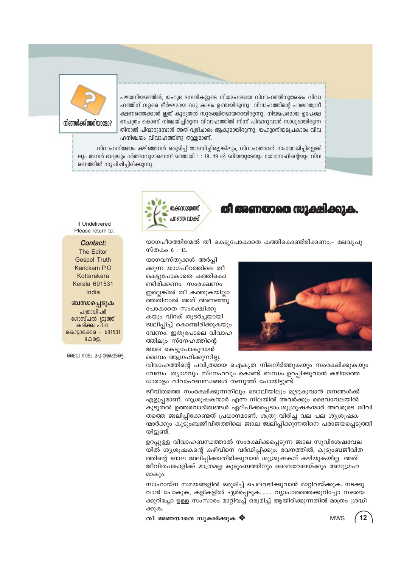

**്വിങ്ങൾക്ക് അറിയാദോ**?

പഴയനിയമത്തിൽ, യഹൂദ ദമ്പതികളുടെ നിയമപരമായ വിവാഹത്തിനുശേഷം വിവാ ഹത്തിന് വളരെ ദീർഘമായ ഒരു കാലം ഉണ്ടായിരുന്നു. വിവാഹത്തിന്റെ പാശ്ചാത്വവീ ക്ഷണത്തെക്കാൾ ഇത് കൂടുതൽ സുരക്ഷിതമായതായിരുന്നു. നിയമപരമായ ഉപേക്ഷ ണപത്രം കൊണ്ട് നിശ്ചയിച്ചിരുന്ന വിവാഹത്തിൽ നിന്ന് പിന്മാറുവാൻ സാധ്വമായിരുന്ന തിനാൽ പിന്മാറുമ്പോൾ അത് വ്വഭിചാരം ആകുമായിരുന്നു. യഹൂദനിയമപ്രകാരം വിവ  $\Delta$ നിശ്ചയം വിവാഹത്തിനു തുല്ലമാണ്.

h വിവാഹനിശ്ചയം കഴിഞ്ഞവർ ഒരുമിച്ച് താമസിച്ചില്ലെങ്കിലും, വിവാഹത്താൽ സംയോജിച്ചില്ലെങ്കി ലും അവർ ഭാര്വയും ഭർത്താവുമാണെന്ന് മത്തായി 1 : 18-19 ൽ മറിയയുടേയും യോസേഫിന്റെയും വിവ  $\alpha$ ണത്തിൽ സൂചിപ്പിച്ചിരിക്കുന്നു.

if Undelivered Please return to:

#### **Contact:**

The Editor Gospel Truth Karickam P.O **Kottarakara** Kerala 691531 India

#### ்வா**யி**வு§}க்

പത്രാധിപർ ഗോസ്പൽ ട്രൂത്ത് കരിക്കം പി.ഒ. കൊട്ടാരക്കര - 691531  $G \oplus G \oplus$ 

ദൈവ നാമം മഹത്വപ്പെടട്ടെ



#### **Xo Award Ko award Karen Bara**

യാഗപീഠത്തിന്മേൽ തീ കെട്ടുപോകാതെ കത്തികൊണ്ടിരിക്കണം.– ലേവൃപു സ്തകം  $6:13.$ 

യാഗവസ്തുക്കൾ അർപ്പി ക്കുന്ന യാഗപീഠത്തിലെ തീ കെട്ടുപോകാതെ കത്തികൊ ണ്ടിരിക്കണം. സംരക്ഷണം ഇല്ലെങ്കിൽ തീ കത്തുകയില്ലാ ത്തതിനാൽ അത് അണഞ്ഞു പോകാതെ സംരക്ഷിക്കു കയും വിറക് തുടർച്ചയായി ജ്വലിപ്പിച്ച് കൊണ്ടിരിക്കുകയും വേണം. ഇതുപോലെ വിവാഹ ത്തിലും സ്നേഹത്തിന്റെ ജ്വാല കെട്ടുപോകുവാൻ ദൈവം ആഗ്രഹിക്കുന്നില്ല.



വിവാഹത്തിന്റെ പവിത്രമായ ഐകൃത നിലനിർത്തുകയും സംരക്ഷിക്കുകയും വേണം. ത്യാഗവും സ്നേഹവും കൊണ്ട് ബന്ധം ഉറപ്പിക്കുവാൻ കഴിയാത്ത ധാരാളം വിവാഹബന്ധങ്ങൾ തണുത്ത് പോയിട്ടുണ്ട്.

ജീവിതത്തെ സംരക്ഷിക്കുന്നതിലും ജോലിയിലും മുഴുകുവാൻ ജനങ്ങൾക്ക് എളുപ്പമാണ്. ശുശ്രൂഷകന്മാർ എന്ന നിലയിൽ അവർക്കും ദൈവവേലയിൽ കൂടുതൽ ഉത്തരവാദിത്വങ്ങൾ ഏല്പിക്കപ്പെടാം.ശുശ്രൂഷകന്മാർ അവരുടെ ജീവി തത്തെ ജ്വലിപ്പിക്കേണ്ടത് പ്രധാനമാണ്. ശത്രു വിരിച്ച വല പല ശുശ്രൂഷക ന്മാർക്കും കുടുംബജീവിതത്തിലെ ജ്വാല ജ്വലിപ്പിക്കുന്നതിനെ പരാജയപ്പെടുത്തി യിട്ടുണ്ട്.

ഉറപ്പുള്ള വിവാഹബന്ധത്താൽ സംരക്ഷിക്കപ്പെടുന്ന ജ്വാല സുവിശേഷവേല യിൽ ശുശ്രൂഷകന്റെ കഴിവിനെ വർദ്ധിപ്പിക്കും. ഭവനത്തിൽ, കുടുംബജീവിത ത്തിന്റെ ജ്വാല ജ്വലിപ്പിക്കാതിരിക്കുവാൻ<sup>-</sup> ശുശ്രൂഷകന് കഴിയുകയില്ല. അത് ജീവിതപങ്കാളിക്ക് മാത്രമല്ല കുടുംബത്തിനും ദൈവവേലയ്ക്കും അനുഗ്രഹ മാകും.

സാഹായ്ന സമയങ്ങളിൽ ഒരുമിച്ച് ചെലവഴിക്കുവാൻ മാറ്റിവയ്ക്കുക. നടക്കു വാൻ പോകുക, കളികളിൽ ഏർപ്പെടുക........ വ്യാപാരത്തെക്കുറിച്ചോ സഭയെ ക്കുറിച്ചോ ഉള്ള സംസാരം മാറ്റിവച്ച് ഒരുമിച്ച് ആയിരിക്കുന്നതിൽ മാത്രം ശ്രദ്ധി ക്കുക.

**Xo AW-bmsX kq£n-°p-I**  MWS

**12**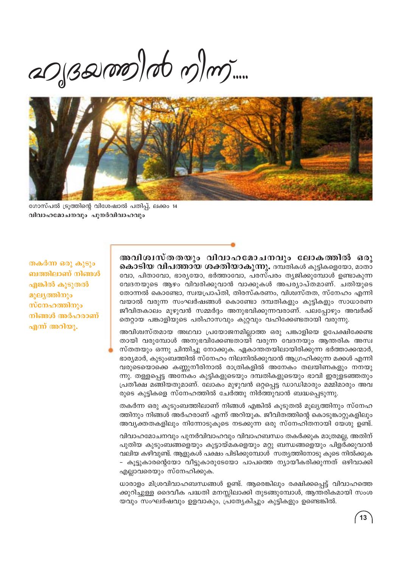$a_0$  $3000$ 



ഗോസ്പൽ ട്രൂത്തിന്റെ വിശേഷാൽ പതിപ്പ്, ലക്കം 14 വിവാഹമോചനവും പുനർവിവാഹവും

തകർന്ന ഒരു കൂടും ബത്തിലാണ് നിങ്ങൾ എങ്കിൽ കൂടുതൽ മൂല്യത്തിനും സ്നേഹത്തിനും നിങ്ങൾ അർഹരാണ് എന്ന് അറിയു.

അവിശ്വസ്തതയും വിവാഹമോചനവും ലോകത്തിൽ ഒരു കൊടിയ വിപത്തായ ശക്തിയാകുന്നു. ദമ്പതികൾ കുട്ടികളെയോ, മാതാ വോ, പിതാവോ, ഭാര്യയോ, ഭർത്താവോ, പരസ്പരം ത്യജിക്കുമ്പോൾ ഉണ്ടാകുന്ന വേദനയുടെ ആഴം വിവരിക്കുവാൻ വാക്കുകൾ അപര്യാപ്തമാണ്. ചതിയുടെ തോന്നൽ കൊണ്ടോ, സ്വയപ്രാപ്തി, തിരസ്കരണം, വിശ്വസ്തത, സ്നേഹം എന്നി വയാൽ വരുന്ന സംഘർഷങ്ങൾ കൊണ്ടോ ദമ്പതികളും കുട്ടികളും സാധാരണ ജീവിതകാലം മുഴുവൻ സമ്മർദ്ദം അനുഭവിക്കുന്നവരാണ്. പലപ്പോഴും അവർക്ക് തെറ്റായ പങ്കാളിയുടെ പരിഹാസവും കുറ്റവും വഹിക്കേണ്ടതായി വരുന്നു.

അവിശ്വസ്തമായ അഥവാ പ്രയോജനമില്ലാത്ത ഒരു പങ്കാളിയെ ഉപേക്ഷിക്കേണ്ട തായി വരുമ്പോൾ അനുഭവിക്കേണ്ടതായി വരുന്ന വേദനയും ആന്തരിക അസ്വ സ്തതയും ഒന്നു ചിന്തിച്ചു നോക്കുക. ഏകാന്തതയിലായിരിക്കുന്ന ഭർത്താക്കന്മാർ, ഭാര്യമാർ, കുടുംബത്തിൽ സ്നേഹം നിലനിൽക്കുവാൻ ആഗ്രഹിക്കുന്ന മക്കൾ എന്നി വരുടെയൊക്കെ കണ്ണുനീരിനാൽ രാത്രികളിൽ അനേകം തലയിണകളും നനയു ന്നു. തള്ളപ്പെട്ട അനേകം കുട്ടികളുടെയും ദമ്പതികളുടെയും ഭാവി ഇരുളടഞ്ഞതും പ്രതീക്ഷ മങ്ങിയതുമാണ്. ലോകം മുഴുവൻ ഒറ്റപ്പെട്ട ഡാഡിമാരും മമ്മിമാരും അവ രുടെ കുട്ടികളെ സ്നേഹത്തിൽ ചേർത്തു നിർത്തുവാൻ ബദ്ധപ്പെടുന്നു.

തകർന്ന ഒരു കുടുംബത്തിലാണ് നിങ്ങൾ എങ്കിൽ കൂടുതൽ മൂല്യത്തിനും സ്നേഹ ത്തിനും നിങ്ങൾ അർഹരാണ് എന്ന് അറിയുക. ജീവിതത്തിന്റെ കൊടുങ്കാറ്റുകളിലും അവ്യക്തതകളിലും നിന്നോടുകൂടെ നടക്കുന്ന ഒരു സ്നേഹിതനായി യേശു ഉണ്ട്.

വിവാഹമോചനവും പുനർവിവാഹവും വിവാഹബന്ധം തകർക്കുക മാത്രമല്ല, അതിന് പുതിയ കുടുംബങ്ങളെയും കൂട്ടായ്മകളെയും മറ്റു ബന്ധങ്ങളെയും പിളർക്കുവാൻ വലിയ കഴിവുണ്ട്. ആളുകൾ പക്ഷം പിടിക്കുമ്പോൾ സത്യത്തിനോടു കൂടെ നിൽക്കുക – കൂട്ടുകാരന്റെയോ വീട്ടുകാരുടേയോ പാപത്തെ ന്യായീകരിക്കുന്നത് ഒഴിവാക്കി എല്ലാവരെയും സ്നേഹിക്കുക.

ധാരാളം മിശ്രവിവാഹബന്ധങ്ങൾ ഉണ്ട്. ആരെങ്കിലും രക്ഷിക്കപ്പെട്ട് വിവാഹത്തെ ക്കുറിച്ചുള്ള ദൈവീക പദ്ധതി മനസ്സിലാക്കി തുടങ്ങുമ്പോൾ, ആന്തരികമായി സംശ യവും സംഘർഷവും ഉളവാകും, പ്രത്യേകിച്ചും കുട്ടികളും ഉണ്ടെങ്കിൽ.

 $(13)$